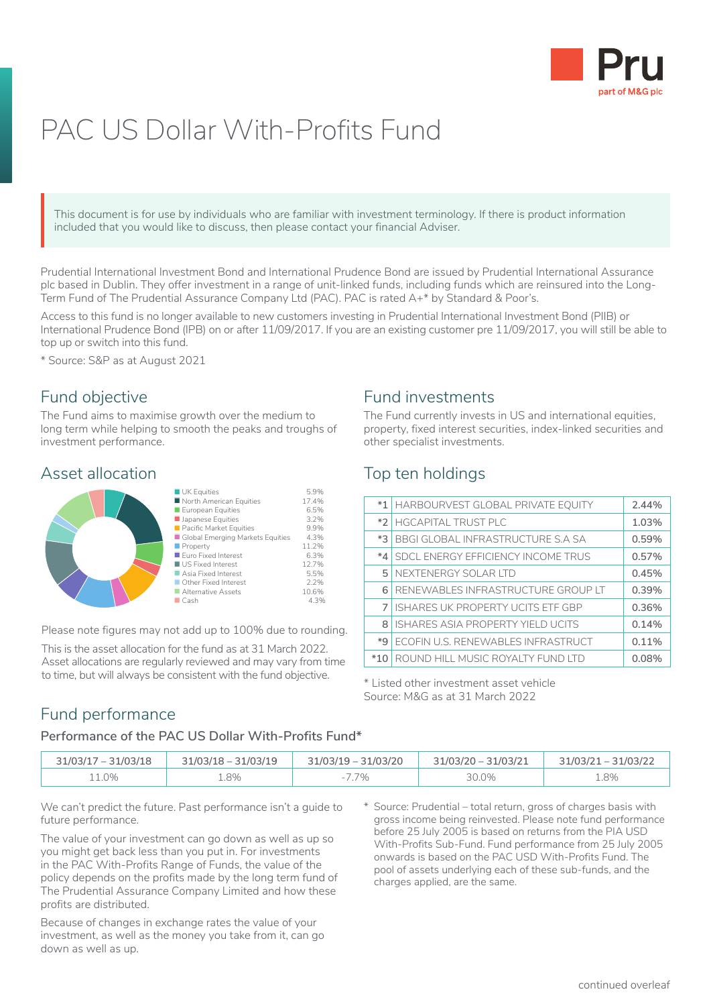

# PAC US Dollar With-Profits Fund

This document is for use by individuals who are familiar with investment terminology. If there is product information included that you would like to discuss, then please contact your financial Adviser. This or include

Prudential International Investment Bond and International Prudence Bond are issued by Prudential International Assurance plc based in Dublin. They offer investment in a range of unit-linked funds, including funds which are reinsured into the Long-Term Fund of The Prudential Assurance Company Ltd (PAC). PAC is rated A+\* by Standard & Poor's.

Access to this fund is no longer available to new customers investing in Prudential International Investment Bond (PIIB) or International Prudence Bond (IPB) on or after 11/09/2017. If you are an existing customer pre 11/09/2017, you will still be able to top up or switch into this fund.

\* Source: S&P as at August 2021

### Fund objective

The Fund aims to maximise growth over the medium to long term while helping to smooth the peaks and troughs of investment performance.

#### Asset allocation



Please note figures may not add up to 100% due to rounding.

This is the asset allocation for the fund as at 31 March 2022. Asset allocations are regularly reviewed and may vary from time to time, but will always be consistent with the fund objective.

#### Fund investments

The Fund currently invests in US and international equities, property, fixed interest securities, index-linked securities and other specialist investments.

## Top ten holdings

| $*1$    | HARBOURVEST GLOBAL PRIVATE EQUITY        | 2.44% |
|---------|------------------------------------------|-------|
|         | *2 HGCAPITAL TRUST PLC                   | 1.03% |
| $*3$    | BBGI GLOBAL INFRASTRUCTURE S.A SA        | 0.59% |
| $*_{4}$ | SDCL ENERGY EFFICIENCY INCOME TRUS       | 0.57% |
| 5.      | NEXTENERGY SOLAR LTD                     | 0.45% |
| 6       | RENEWABLES INFRASTRUCTURE GROUP LT       | 0.39% |
|         | <b>ISHARES UK PROPERTY UCITS ETF GBP</b> | 0.36% |
| 8       | ISHARES ASIA PROPERTY YIELD UCITS        | 0.14% |
| $*9'$   | ECOFIN U.S. RENEWABLES INFRASTRUCT       | 0.11% |
| $*10$   | ROUND HILL MUSIC ROYALTY FUND LTD        | 0.08% |

\* Listed other investment asset vehicle Source: M&G as at 31 March 2022

#### Fund performance

#### **Performance of the PAC US Dollar With-Profits Fund\***

| $31/03/17 - 31/03/18$ | $31/03/18 - 31/03/19$ | $31/03/19 - 31/03/20$ | 31/03/20 - 31/03/21 | $31/03/21 - 31/03/22$ |
|-----------------------|-----------------------|-----------------------|---------------------|-----------------------|
| 1.0%                  | 1.8%                  | 7%                    | 30.0%               | 1.8%                  |

We can't predict the future. Past performance isn't a quide to future performance.

The value of your investment can go down as well as up so you might get back less than you put in. For investments in the PAC With-Profits Range of Funds, the value of the policy depends on the profits made by the long term fund of The Prudential Assurance Company Limited and how these profits are distributed.

Because of changes in exchange rates the value of your investment, as well as the money you take from it, can go down as well as up.

\* Source: Prudential – total return, gross of charges basis with gross income being reinvested. Please note fund performance before 25 July 2005 is based on returns from the PIA USD With-Profits Sub-Fund. Fund performance from 25 July 2005 onwards is based on the PAC USD With-Profits Fund. The pool of assets underlying each of these sub-funds, and the charges applied, are the same.